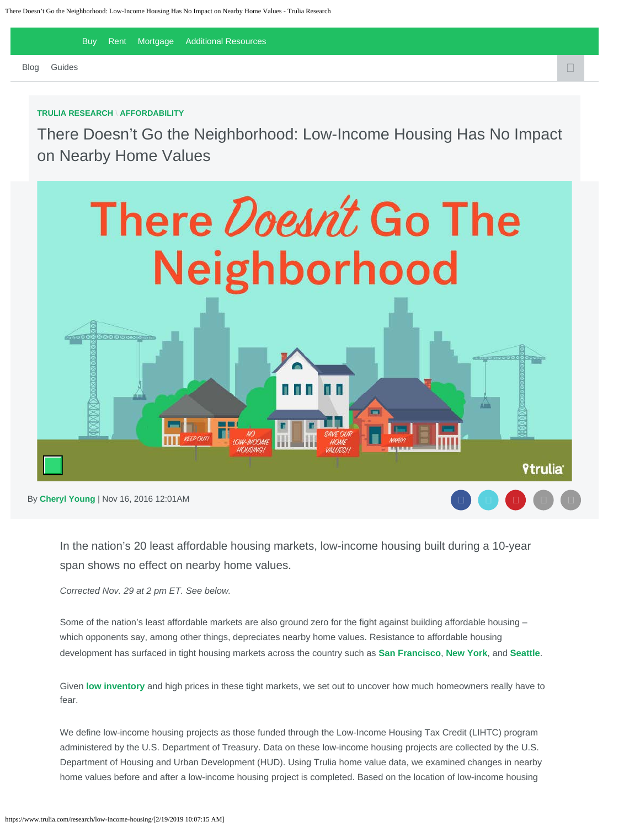[Buy](https://www.trulia.com/) [Rent](https://www.trulia.com/rent/) [Mortgage](https://www.trulia.com/mortgages/) Additional Resources

 $\Box$ [Blog](https://www.trulia.com/blog/) [Guides](https://www.trulia.com/guides/)  $\Box$ 

#### **[TRULIA RESEARCH](https://www.trulia.com/research)** \ **[AFFORDABILITY](https://www.trulia.com/research/affordability/)**

There Doesn't Go the Neighborhood: Low-Income Housing Has No Impact on Nearby Home Values



By **[Cheryl Young](https://www.trulia.com/research/author/cherylyoung/)** | Nov 16, 2016 12:01AM

In the nation's 20 least affordable housing markets, low-income housing built during a 10-year span shows no effect on nearby home values.

*Corrected Nov. 29 at 2 pm ET. See below.*

Some of the nation's least affordable markets are also ground zero for the fight against building affordable housing – which opponents say, among other things, depreciates nearby home values. Resistance to affordable housing development has surfaced in tight housing markets across the country such as **[San Francisco](http://sf.curbed.com/2016/10/6/13189882/1296-shotwell-affordable-housing-opposition)**, **[New York](http://www.wsj.com/articles/for-bill-de-blasio-housing-opposition-abounds-1471568538)**, and **[Seattle](http://www.seattletimes.com/seattle-news/politics/alliance-of-downtown-residents-drops-opposition-to-mayors-housing-plan/)**.

Given **[low inventory](https://www.trulia.com/blog/trends/inventory-q32016/)** and high prices in these tight markets, we set out to uncover how much homeowners really have to fear.

We define low-income housing projects as those funded through the Low-Income Housing Tax Credit (LIHTC) program administered by the U.S. Department of Treasury. Data on these low-income housing projects are collected by the U.S. Department of Housing and Urban Development (HUD). Using Trulia home value data, we examined changes in nearby home values before and after a low-income housing project is completed. Based on the location of low-income housing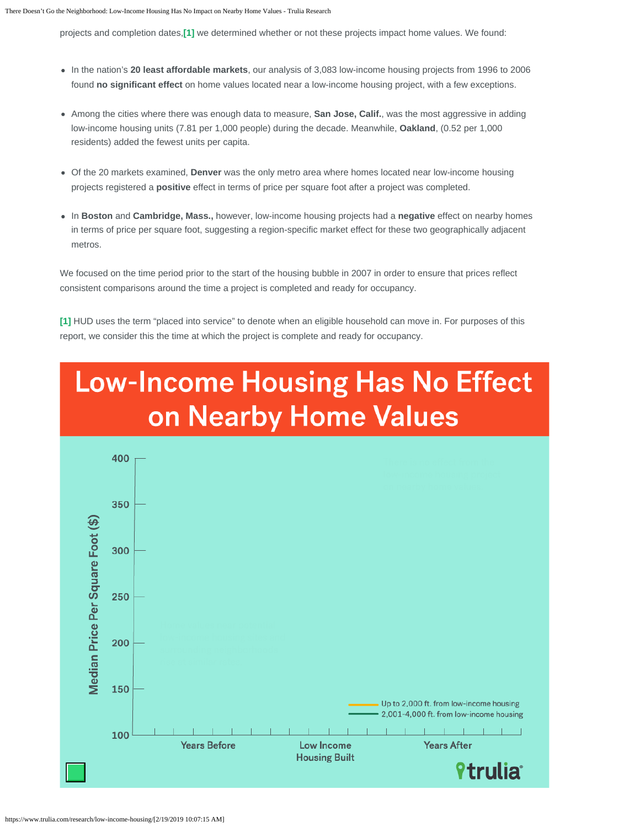projects and completion dates,**[\[1\]](#page-4-0)** we determined whether or not these projects impact home values. We found:

- In the nation's **20 least affordable markets**, our analysis of 3,083 low-income housing projects from 1996 to 2006 found **no significant effect** on home values located near a low-income housing project, with a few exceptions.
- Among the cities where there was enough data to measure, **San Jose, Calif.**, was the most aggressive in adding low-income housing units (7.81 per 1,000 people) during the decade. Meanwhile, **Oakland**, (0.52 per 1,000 residents) added the fewest units per capita.
- Of the 20 markets examined, **Denver** was the only metro area where homes located near low-income housing projects registered a **positive** effect in terms of price per square foot after a project was completed.
- In **Boston** and **Cambridge, Mass.,** however, low-income housing projects had a **negative** effect on nearby homes in terms of price per square foot, suggesting a region-specific market effect for these two geographically adjacent metros.

We focused on the time period prior to the start of the housing bubble in 2007 in order to ensure that prices reflect consistent comparisons around the time a project is completed and ready for occupancy.

**[\[1\]](#page-4-1)** HUD uses the term "placed into service" to denote when an eligible household can move in. For purposes of this report, we consider this the time at which the project is complete and ready for occupancy.

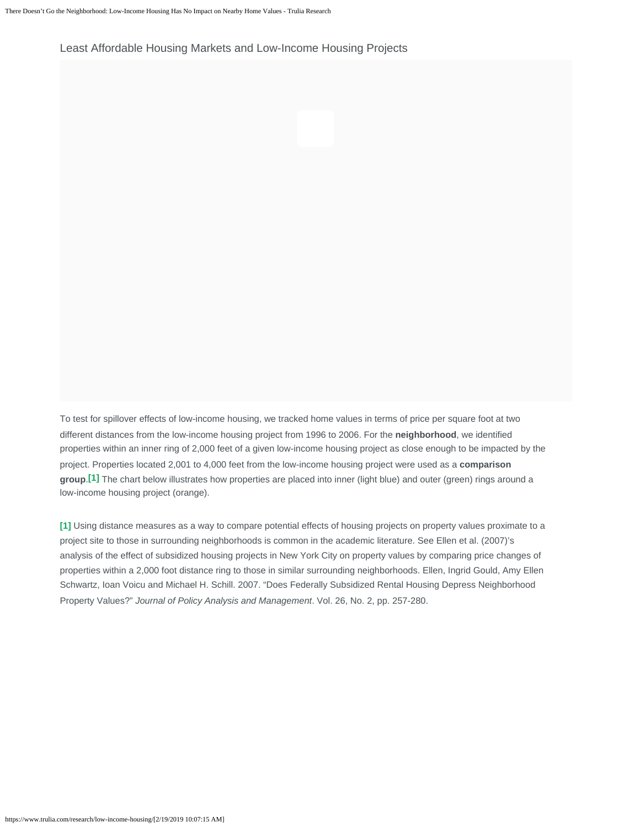Least Affordable Housing Markets and Low-Income Housing Projects

To test for spillover effects of low-income housing, we tracked home values in terms of price per square foot at two different distances from the low-income housing project from 1996 to 2006. For the **neighborhood**, we identified properties within an inner ring of 2,000 feet of a given low-income housing project as close enough to be impacted by the project. Properties located 2,001 to 4,000 feet from the low-income housing project were used as a **comparison group**.**[\[1\]](#page-4-0)** The chart below illustrates how properties are placed into inner (light blue) and outer (green) rings around a low-income housing project (orange).

**[\[1\]](#page-4-1)** Using distance measures as a way to compare potential effects of housing projects on property values proximate to a project site to those in surrounding neighborhoods is common in the academic literature. See Ellen et al. (2007)'s analysis of the effect of subsidized housing projects in New York City on property values by comparing price changes of properties within a 2,000 foot distance ring to those in similar surrounding neighborhoods. Ellen, Ingrid Gould, Amy Ellen Schwartz, Ioan Voicu and Michael H. Schill. 2007. "Does Federally Subsidized Rental Housing Depress Neighborhood Property Values?" *Journal of Policy Analysis and Management*. Vol. 26, No. 2, pp. 257-280.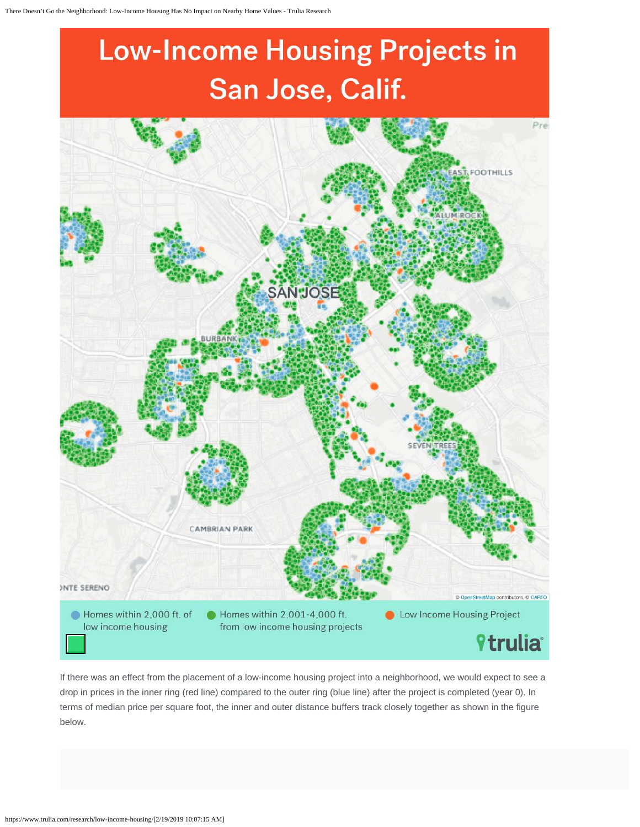# **Low-Income Housing Projects in** San Jose, Calif.



If there was an effect from the placement of a low-income housing project into a neighborhood, we would expect to see a drop in prices in the inner ring (red line) compared to the outer ring (blue line) after the project is completed (year 0). In terms of median price per square foot, the inner and outer distance buffers track closely together as shown in the figure below.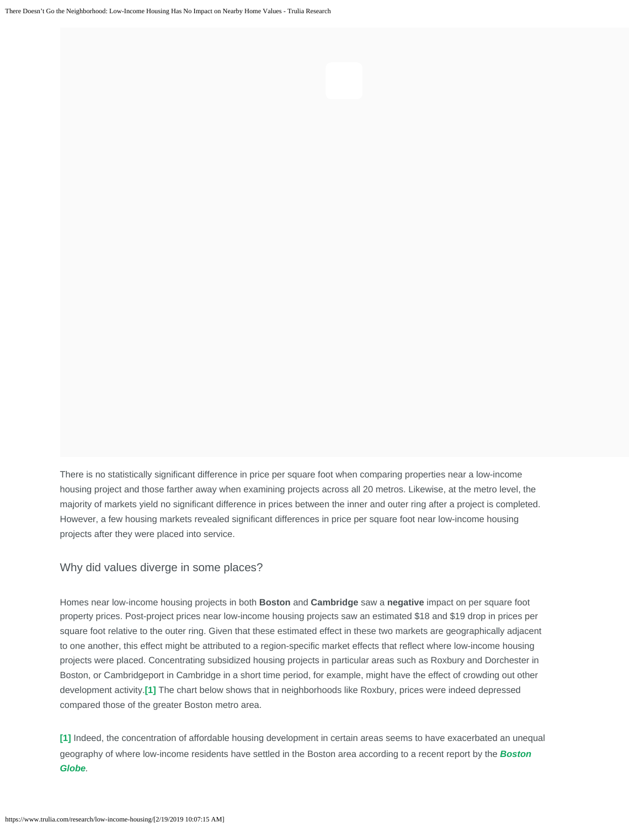There is no statistically significant difference in price per square foot when comparing properties near a low-income housing project and those farther away when examining projects across all 20 metros. Likewise, at the metro level, the majority of markets yield no significant difference in prices between the inner and outer ring after a project is completed. However, a few housing markets revealed significant differences in price per square foot near low-income housing projects after they were placed into service.

## Why did values diverge in some places?

Homes near low-income housing projects in both **Boston** and **Cambridge** saw a **negative** impact on per square foot property prices. Post-project prices near low-income housing projects saw an estimated \$18 and \$19 drop in prices per square foot relative to the outer ring. Given that these estimated effect in these two markets are geographically adjacent to one another, this effect might be attributed to a region-specific market effects that reflect where low-income housing projects were placed. Concentrating subsidized housing projects in particular areas such as Roxbury and Dorchester in Boston, or Cambridgeport in Cambridge in a short time period, for example, might have the effect of crowding out other development activity.**[\[1\]](#page-4-0)** The chart below shows that in neighborhoods like Roxbury, prices were indeed depressed compared those of the greater Boston metro area.

<span id="page-4-1"></span><span id="page-4-0"></span>**[\[1\]](#page-4-1)** Indeed, the concentration of affordable housing development in certain areas seems to have exacerbated an unequal geography of where low-income residents have settled in the Boston area according to a recent report by the *[Boston](https://www.bostonglobe.com/metro/2016/09/02/boundaries-hope/m15ni02g8atfGwg4R9z7cI/story.html) [Globe](https://www.bostonglobe.com/metro/2016/09/02/boundaries-hope/m15ni02g8atfGwg4R9z7cI/story.html).*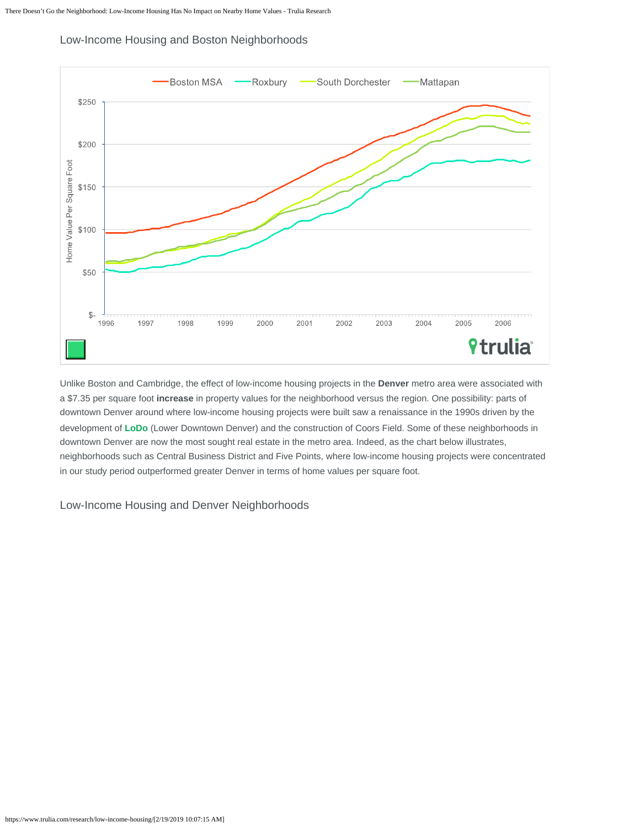

Low-Income Housing and Boston Neighborhoods

Unlike Boston and Cambridge, the effect of low-income housing projects in the **Denver** metro area were associated with a \$7.35 per square foot **increase** in property values for the neighborhood versus the region. One possibility: parts of downtown Denver around where low-income housing projects were built saw a renaissance in the 1990s driven by the development of **[LoDo](https://www.lodo.org/)** (Lower Downtown Denver) and the construction of Coors Field. Some of these neighborhoods in downtown Denver are now the most sought real estate in the metro area. Indeed, as the chart below illustrates, neighborhoods such as Central Business District and Five Points, where low-income housing projects were concentrated in our study period outperformed greater Denver in terms of home values per square foot.

Low-Income Housing and Denver Neighborhoods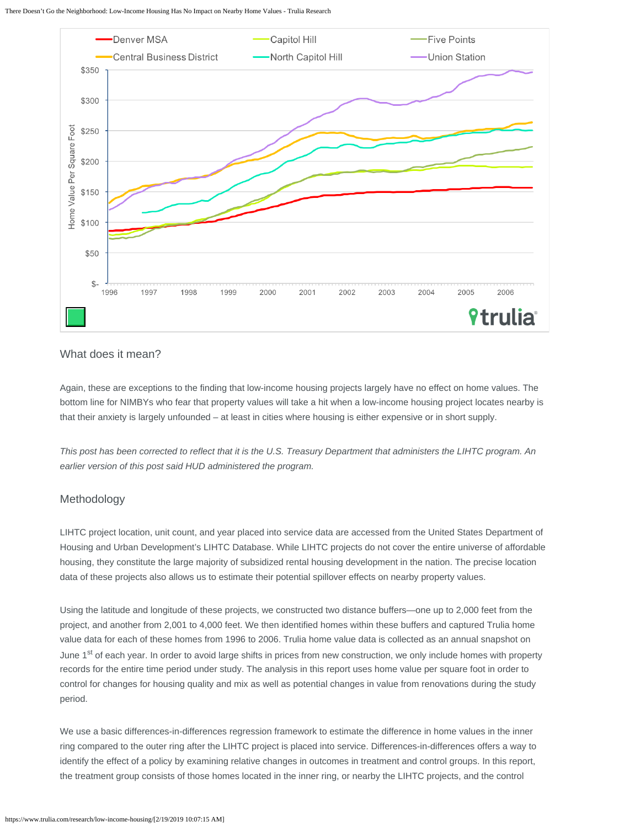There Doesn't Go the Neighborhood: Low-Income Housing Has No Impact on Nearby Home Values - Trulia Research



## What does it mean?

Again, these are exceptions to the finding that low-income housing projects largely have no effect on home values. The bottom line for NIMBYs who fear that property values will take a hit when a low-income housing project locates nearby is that their anxiety is largely unfounded – at least in cities where housing is either expensive or in short supply.

*This post has been corrected to reflect that it is the U.S. Treasury Department that administers the LIHTC program. An earlier version of this post said HUD administered the program.*

## Methodology

LIHTC project location, unit count, and year placed into service data are accessed from the United States Department of Housing and Urban Development's LIHTC Database. While LIHTC projects do not cover the entire universe of affordable housing, they constitute the large majority of subsidized rental housing development in the nation. The precise location data of these projects also allows us to estimate their potential spillover effects on nearby property values.

Using the latitude and longitude of these projects, we constructed two distance buffers—one up to 2,000 feet from the project, and another from 2,001 to 4,000 feet. We then identified homes within these buffers and captured Trulia home value data for each of these homes from 1996 to 2006. Trulia home value data is collected as an annual snapshot on June 1<sup>st</sup> of each year. In order to avoid large shifts in prices from new construction, we only include homes with property records for the entire time period under study. The analysis in this report uses home value per square foot in order to control for changes for housing quality and mix as well as potential changes in value from renovations during the study period.

We use a basic differences-in-differences regression framework to estimate the difference in home values in the inner ring compared to the outer ring after the LIHTC project is placed into service. Differences-in-differences offers a way to identify the effect of a policy by examining relative changes in outcomes in treatment and control groups. In this report, the treatment group consists of those homes located in the inner ring, or nearby the LIHTC projects, and the control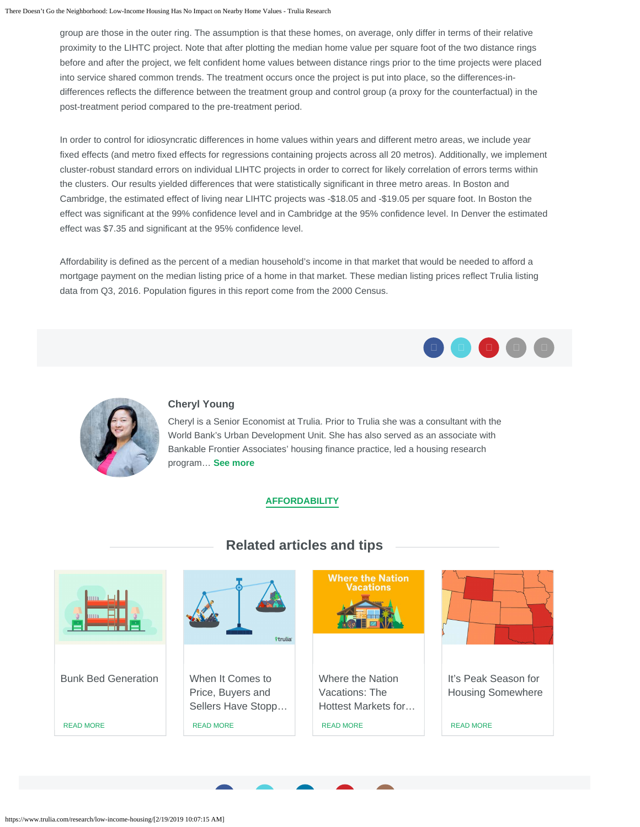group are those in the outer ring. The assumption is that these homes, on average, only differ in terms of their relative proximity to the LIHTC project. Note that after plotting the median home value per square foot of the two distance rings before and after the project, we felt confident home values between distance rings prior to the time projects were placed into service shared common trends. The treatment occurs once the project is put into place, so the differences-indifferences reflects the difference between the treatment group and control group (a proxy for the counterfactual) in the post-treatment period compared to the pre-treatment period.

In order to control for idiosyncratic differences in home values within years and different metro areas, we include year fixed effects (and metro fixed effects for regressions containing projects across all 20 metros). Additionally, we implement cluster-robust standard errors on individual LIHTC projects in order to correct for likely correlation of errors terms within the clusters. Our results yielded differences that were statistically significant in three metro areas. In Boston and Cambridge, the estimated effect of living near LIHTC projects was -\$18.05 and -\$19.05 per square foot. In Boston the effect was significant at the 99% confidence level and in Cambridge at the 95% confidence level. In Denver the estimated effect was \$7.35 and significant at the 95% confidence level.

Affordability is defined as the percent of a median household's income in that market that would be needed to afford a mortgage payment on the median listing price of a home in that market. These median listing prices reflect Trulia listing data from Q3, 2016. Population figures in this report come from the 2000 Census.





## **[Cheryl Young](https://www.trulia.com/research/author/cherylyoung/)**

Cheryl is a Senior Economist at Trulia. Prior to Trulia she was a consultant with the World Bank's Urban Development Unit. She has also served as an associate with Bankable Frontier Associates' housing finance practice, led a housing research program… **[See more](https://www.trulia.com/research/author/cherylyoung/)**

## **[AFFORDABILITY](https://www.trulia.com/research/affordability/)**



## **Related articles and tips**